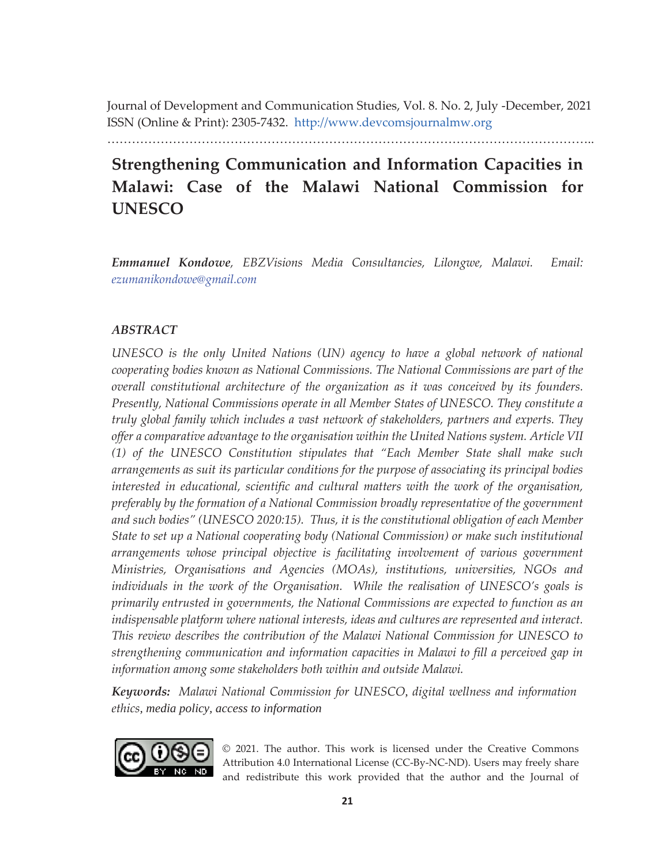Journal of Development and Communication Studies, Vol. 8. No. 2, July -December, 2021 ISSN (Online & Print): 2305-7432. http://www.devcomsjournalmw.org

………………………………………………………………………………………………………..

# **Strengthening Communication and Information Capacities in Malawi: Case of the Malawi National Commission for UNESCO**

*Emmanuel Kondowe, EBZVisions Media Consultancies, Lilongwe, Malawi. Email: ezumanikondowe@gmail.com*

# *ABSTRACT*

*UNESCO is the only United Nations (UN) agency to have a global network of national cooperating bodies known as National Commissions. The National Commissions are part of the overall constitutional architecture of the organization as it was conceived by its founders. Presently, National Commissions operate in all Member States of UNESCO. They constitute a truly global family which includes a vast network of stakeholders, partners and experts. They offer a comparative advantage to the organisation within the United Nations system. Article VII (1) of the UNESCO Constitution stipulates that "Each Member State shall make such arrangements as suit its particular conditions for the purpose of associating its principal bodies interested in educational, scientific and cultural matters with the work of the organisation, preferably by the formation of a National Commission broadly representative of the government and such bodies" (UNESCO 2020:15). Thus, it is the constitutional obligation of each Member State to set up a National cooperating body (National Commission) or make such institutional arrangements whose principal objective is facilitating involvement of various government Ministries, Organisations and Agencies (MOAs), institutions, universities, NGOs and*  individuals in the work of the Organisation. While the realisation of UNESCO's goals is *primarily entrusted in governments, the National Commissions are expected to function as an indispensable platform where national interests, ideas and cultures are represented and interact. This review describes the contribution of the Malawi National Commission for UNESCO to strengthening communication and information capacities in Malawi to fill a perceived gap in information among some stakeholders both within and outside Malawi.* 

*Keywords: Malawi National Commission for UNESCO, digital wellness and information ethics, media policy, access to information*



© 2021. The author. This work is licensed under the Creative Commons Attribution 4.0 International License (CC-By-NC-ND). Users may freely share and redistribute this work provided that the author and the Journal of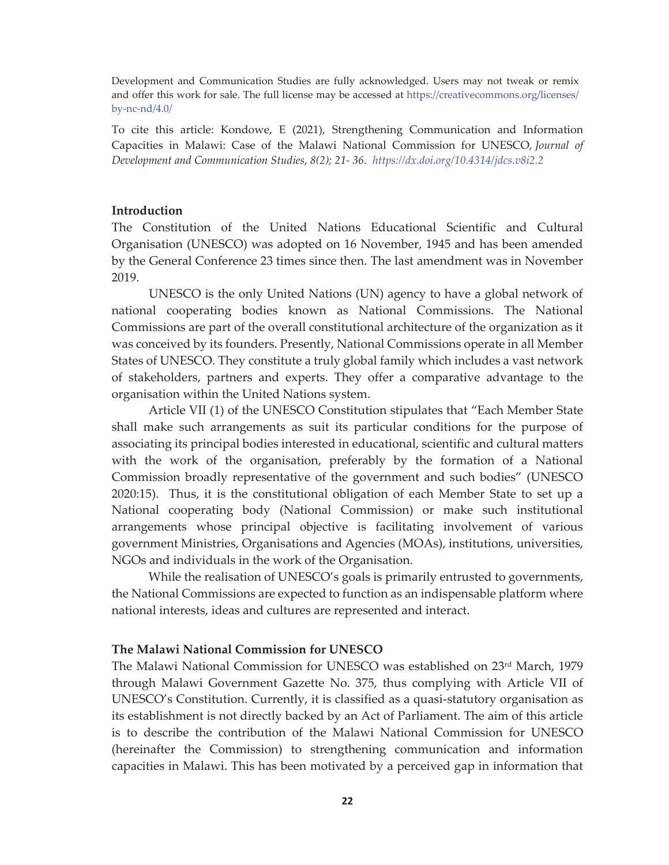Development and Communication Studies are fully acknowledged. Users may not tweak or remix and offer this work for sale. The full license may be accessed at https://creativecommons.org/licenses/ by-nc-nd/4.0/

To cite this article: Kondowe, E (2021), Strengthening Communication and Information Capacities in Malawi: Case of the Malawi National Commission for UNESCO, *Journal of Development and Communication Studies*, *8(2); 21- 36. https://dx.doi.org/10.4314/jdcs.v8i2.2* 

#### **Introduction**

The Constitution of the United Nations Educational Scientific and Cultural Organisation (UNESCO) was adopted on 16 November, 1945 and has been amended by the General Conference 23 times since then. The last amendment was in November 2019.

UNESCO is the only United Nations (UN) agency to have a global network of national cooperating bodies known as National Commissions. The National Commissions are part of the overall constitutional architecture of the organization as it was conceived by its founders. Presently, National Commissions operate in all Member States of UNESCO. They constitute a truly global family which includes a vast network of stakeholders, partners and experts. They offer a comparative advantage to the organisation within the United Nations system.

Article VII (1) of the UNESCO Constitution stipulates that "Each Member State shall make such arrangements as suit its particular conditions for the purpose of associating its principal bodies interested in educational, scientific and cultural matters with the work of the organisation, preferably by the formation of a National Commission broadly representative of the government and such bodies" (UNESCO 2020:15). Thus, it is the constitutional obligation of each Member State to set up a National cooperating body (National Commission) or make such institutional arrangements whose principal objective is facilitating involvement of various government Ministries, Organisations and Agencies (MOAs), institutions, universities, NGOs and individuals in the work of the Organisation.

While the realisation of UNESCO's goals is primarily entrusted to governments, the National Commissions are expected to function as an indispensable platform where national interests, ideas and cultures are represented and interact.

## **The Malawi National Commission for UNESCO**

The Malawi National Commission for UNESCO was established on 23rd March, 1979 through Malawi Government Gazette No. 375, thus complying with Article VII of UNESCO's Constitution. Currently, it is classified as a quasi-statutory organisation as its establishment is not directly backed by an Act of Parliament. The aim of this article is to describe the contribution of the Malawi National Commission for UNESCO (hereinafter the Commission) to strengthening communication and information capacities in Malawi. This has been motivated by a perceived gap in information that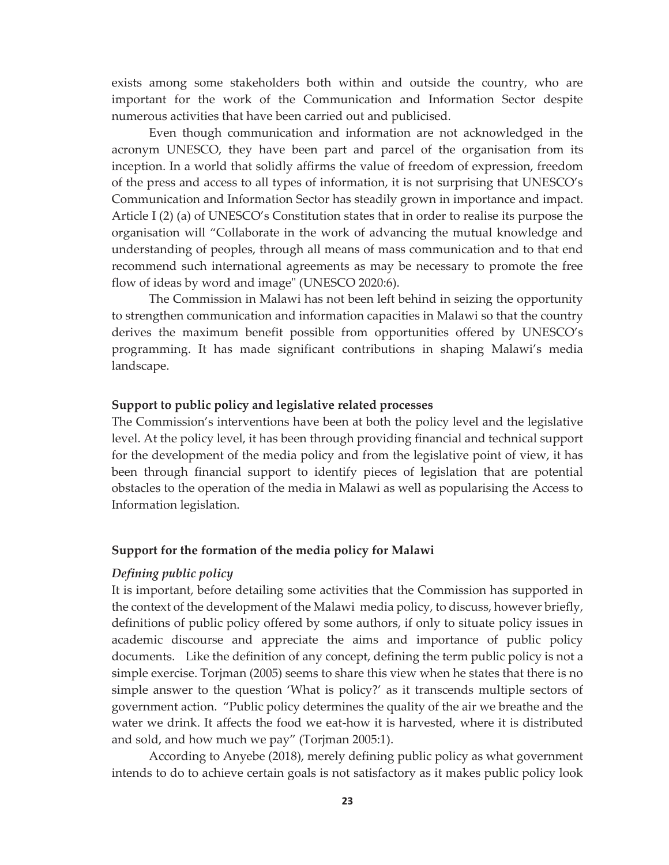exists among some stakeholders both within and outside the country, who are important for the work of the Communication and Information Sector despite numerous activities that have been carried out and publicised.

Even though communication and information are not acknowledged in the acronym UNESCO, they have been part and parcel of the organisation from its inception. In a world that solidly affirms the value of freedom of expression, freedom of the press and access to all types of information, it is not surprising that UNESCO's Communication and Information Sector has steadily grown in importance and impact. Article I (2) (a) of UNESCO's Constitution states that in order to realise its purpose the organisation will "Collaborate in the work of advancing the mutual knowledge and understanding of peoples, through all means of mass communication and to that end recommend such international agreements as may be necessary to promote the free flow of ideas by word and image" (UNESCO 2020:6).

The Commission in Malawi has not been left behind in seizing the opportunity to strengthen communication and information capacities in Malawi so that the country derives the maximum benefit possible from opportunities offered by UNESCO's programming. It has made significant contributions in shaping Malawi's media landscape.

## **Support to public policy and legislative related processes**

The Commission's interventions have been at both the policy level and the legislative level. At the policy level, it has been through providing financial and technical support for the development of the media policy and from the legislative point of view, it has been through financial support to identify pieces of legislation that are potential obstacles to the operation of the media in Malawi as well as popularising the Access to Information legislation.

#### **Support for the formation of the media policy for Malawi**

#### *Defining public policy*

It is important, before detailing some activities that the Commission has supported in the context of the development of the Malawi media policy, to discuss, however briefly, definitions of public policy offered by some authors, if only to situate policy issues in academic discourse and appreciate the aims and importance of public policy documents. Like the definition of any concept, defining the term public policy is not a simple exercise. Torjman (2005) seems to share this view when he states that there is no simple answer to the question 'What is policy?' as it transcends multiple sectors of government action. "Public policy determines the quality of the air we breathe and the water we drink. It affects the food we eat-how it is harvested, where it is distributed and sold, and how much we pay" (Torjman 2005:1).

According to Anyebe (2018), merely defining public policy as what government intends to do to achieve certain goals is not satisfactory as it makes public policy look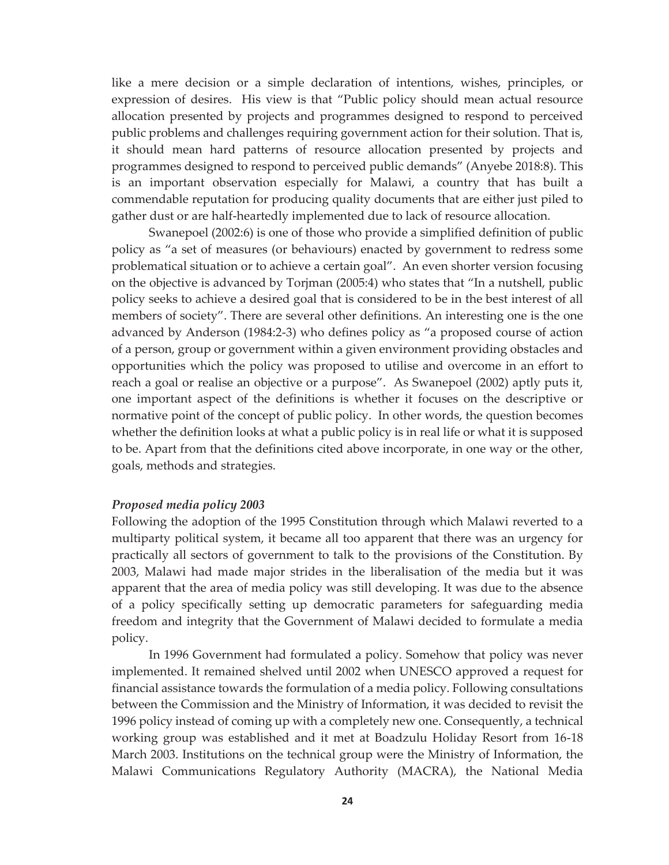like a mere decision or a simple declaration of intentions, wishes, principles, or expression of desires. His view is that "Public policy should mean actual resource allocation presented by projects and programmes designed to respond to perceived public problems and challenges requiring government action for their solution. That is, it should mean hard patterns of resource allocation presented by projects and programmes designed to respond to perceived public demands" (Anyebe 2018:8). This is an important observation especially for Malawi, a country that has built a commendable reputation for producing quality documents that are either just piled to gather dust or are half-heartedly implemented due to lack of resource allocation.

Swanepoel (2002:6) is one of those who provide a simplified definition of public policy as "a set of measures (or behaviours) enacted by government to redress some problematical situation or to achieve a certain goal". An even shorter version focusing on the objective is advanced by Torjman (2005:4) who states that "In a nutshell, public policy seeks to achieve a desired goal that is considered to be in the best interest of all members of society". There are several other definitions. An interesting one is the one advanced by Anderson (1984:2-3) who defines policy as "a proposed course of action of a person, group or government within a given environment providing obstacles and opportunities which the policy was proposed to utilise and overcome in an effort to reach a goal or realise an objective or a purpose". As Swanepoel (2002) aptly puts it, one important aspect of the definitions is whether it focuses on the descriptive or normative point of the concept of public policy. In other words, the question becomes whether the definition looks at what a public policy is in real life or what it is supposed to be. Apart from that the definitions cited above incorporate, in one way or the other, goals, methods and strategies.

#### *Proposed media policy 2003*

Following the adoption of the 1995 Constitution through which Malawi reverted to a multiparty political system, it became all too apparent that there was an urgency for practically all sectors of government to talk to the provisions of the Constitution. By 2003, Malawi had made major strides in the liberalisation of the media but it was apparent that the area of media policy was still developing. It was due to the absence of a policy specifically setting up democratic parameters for safeguarding media freedom and integrity that the Government of Malawi decided to formulate a media policy.

In 1996 Government had formulated a policy. Somehow that policy was never implemented. It remained shelved until 2002 when UNESCO approved a request for financial assistance towards the formulation of a media policy. Following consultations between the Commission and the Ministry of Information, it was decided to revisit the 1996 policy instead of coming up with a completely new one. Consequently, a technical working group was established and it met at Boadzulu Holiday Resort from 16-18 March 2003. Institutions on the technical group were the Ministry of Information, the Malawi Communications Regulatory Authority (MACRA), the National Media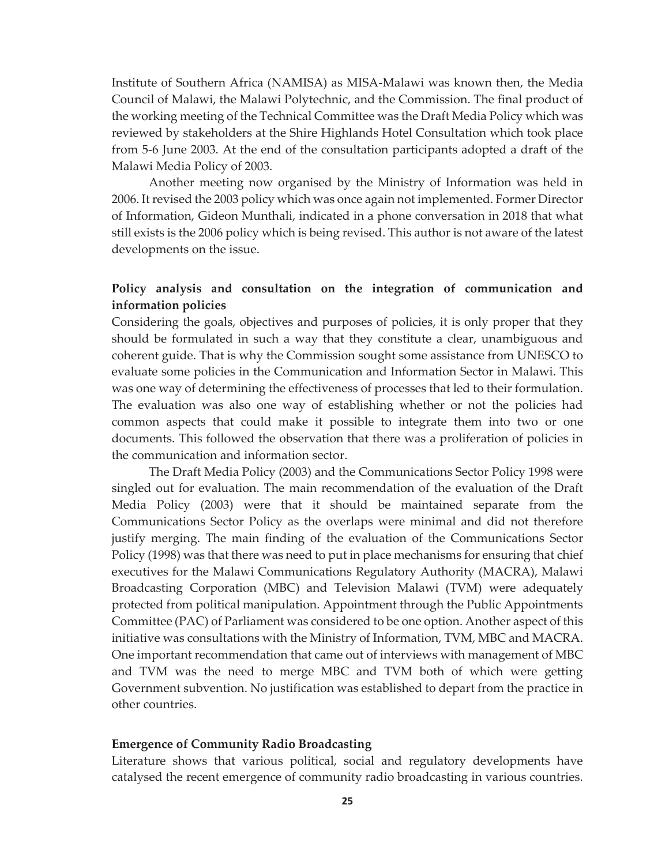Institute of Southern Africa (NAMISA) as MISA-Malawi was known then, the Media Council of Malawi, the Malawi Polytechnic, and the Commission. The final product of the working meeting of the Technical Committee was the Draft Media Policy which was reviewed by stakeholders at the Shire Highlands Hotel Consultation which took place from 5-6 June 2003. At the end of the consultation participants adopted a draft of the Malawi Media Policy of 2003.

Another meeting now organised by the Ministry of Information was held in 2006. It revised the 2003 policy which was once again not implemented. Former Director of Information, Gideon Munthali, indicated in a phone conversation in 2018 that what still exists is the 2006 policy which is being revised. This author is not aware of the latest developments on the issue.

# **Policy analysis and consultation on the integration of communication and information policies**

Considering the goals, objectives and purposes of policies, it is only proper that they should be formulated in such a way that they constitute a clear, unambiguous and coherent guide. That is why the Commission sought some assistance from UNESCO to evaluate some policies in the Communication and Information Sector in Malawi. This was one way of determining the effectiveness of processes that led to their formulation. The evaluation was also one way of establishing whether or not the policies had common aspects that could make it possible to integrate them into two or one documents. This followed the observation that there was a proliferation of policies in the communication and information sector.

The Draft Media Policy (2003) and the Communications Sector Policy 1998 were singled out for evaluation. The main recommendation of the evaluation of the Draft Media Policy (2003) were that it should be maintained separate from the Communications Sector Policy as the overlaps were minimal and did not therefore justify merging. The main finding of the evaluation of the Communications Sector Policy (1998) was that there was need to put in place mechanisms for ensuring that chief executives for the Malawi Communications Regulatory Authority (MACRA), Malawi Broadcasting Corporation (MBC) and Television Malawi (TVM) were adequately protected from political manipulation. Appointment through the Public Appointments Committee (PAC) of Parliament was considered to be one option. Another aspect of this initiative was consultations with the Ministry of Information, TVM, MBC and MACRA. One important recommendation that came out of interviews with management of MBC and TVM was the need to merge MBC and TVM both of which were getting Government subvention. No justification was established to depart from the practice in other countries.

### **Emergence of Community Radio Broadcasting**

Literature shows that various political, social and regulatory developments have catalysed the recent emergence of community radio broadcasting in various countries.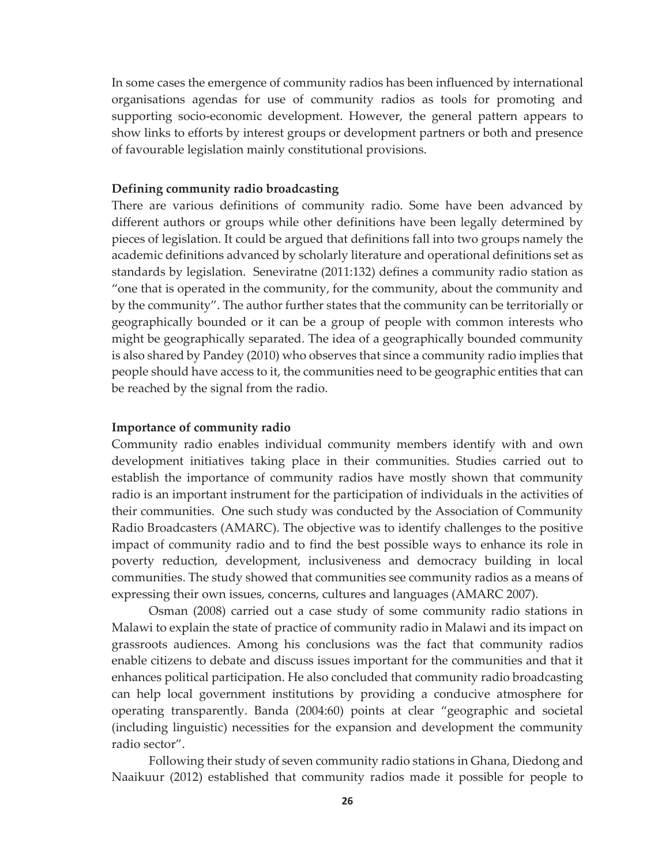In some cases the emergence of community radios has been influenced by international organisations agendas for use of community radios as tools for promoting and supporting socio-economic development. However, the general pattern appears to show links to efforts by interest groups or development partners or both and presence of favourable legislation mainly constitutional provisions.

## **Defining community radio broadcasting**

There are various definitions of community radio. Some have been advanced by different authors or groups while other definitions have been legally determined by pieces of legislation. It could be argued that definitions fall into two groups namely the academic definitions advanced by scholarly literature and operational definitions set as standards by legislation. Seneviratne (2011:132) defines a community radio station as "one that is operated in the community, for the community, about the community and by the community". The author further states that the community can be territorially or geographically bounded or it can be a group of people with common interests who might be geographically separated. The idea of a geographically bounded community is also shared by Pandey (2010) who observes that since a community radio implies that people should have access to it, the communities need to be geographic entities that can be reached by the signal from the radio.

#### **Importance of community radio**

Community radio enables individual community members identify with and own development initiatives taking place in their communities. Studies carried out to establish the importance of community radios have mostly shown that community radio is an important instrument for the participation of individuals in the activities of their communities. One such study was conducted by the Association of Community Radio Broadcasters (AMARC). The objective was to identify challenges to the positive impact of community radio and to find the best possible ways to enhance its role in poverty reduction, development, inclusiveness and democracy building in local communities. The study showed that communities see community radios as a means of expressing their own issues, concerns, cultures and languages (AMARC 2007).

Osman (2008) carried out a case study of some community radio stations in Malawi to explain the state of practice of community radio in Malawi and its impact on grassroots audiences. Among his conclusions was the fact that community radios enable citizens to debate and discuss issues important for the communities and that it enhances political participation. He also concluded that community radio broadcasting can help local government institutions by providing a conducive atmosphere for operating transparently. Banda (2004:60) points at clear "geographic and societal (including linguistic) necessities for the expansion and development the community radio sector".

Following their study of seven community radio stations in Ghana, Diedong and Naaikuur (2012) established that community radios made it possible for people to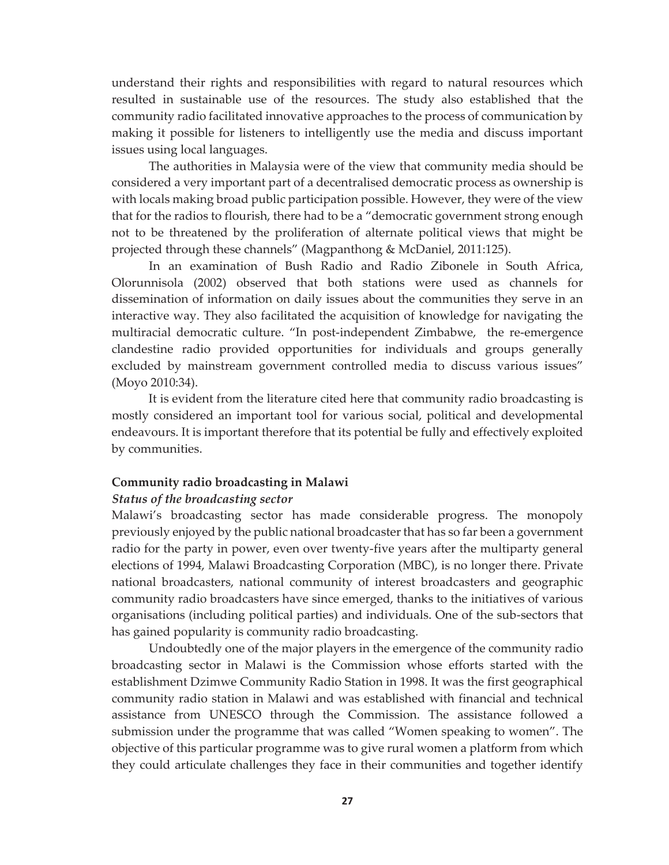understand their rights and responsibilities with regard to natural resources which resulted in sustainable use of the resources. The study also established that the community radio facilitated innovative approaches to the process of communication by making it possible for listeners to intelligently use the media and discuss important issues using local languages.

The authorities in Malaysia were of the view that community media should be considered a very important part of a decentralised democratic process as ownership is with locals making broad public participation possible. However, they were of the view that for the radios to flourish, there had to be a "democratic government strong enough not to be threatened by the proliferation of alternate political views that might be projected through these channels" (Magpanthong & McDaniel, 2011:125).

In an examination of Bush Radio and Radio Zibonele in South Africa, Olorunnisola (2002) observed that both stations were used as channels for dissemination of information on daily issues about the communities they serve in an interactive way. They also facilitated the acquisition of knowledge for navigating the multiracial democratic culture. "In post-independent Zimbabwe, the re-emergence clandestine radio provided opportunities for individuals and groups generally excluded by mainstream government controlled media to discuss various issues" (Moyo 2010:34).

It is evident from the literature cited here that community radio broadcasting is mostly considered an important tool for various social, political and developmental endeavours. It is important therefore that its potential be fully and effectively exploited by communities.

#### **Community radio broadcasting in Malawi**

### *Status of the broadcasting sector*

Malawi's broadcasting sector has made considerable progress. The monopoly previously enjoyed by the public national broadcaster that has so far been a government radio for the party in power, even over twenty-five years after the multiparty general elections of 1994, Malawi Broadcasting Corporation (MBC), is no longer there. Private national broadcasters, national community of interest broadcasters and geographic community radio broadcasters have since emerged, thanks to the initiatives of various organisations (including political parties) and individuals. One of the sub-sectors that has gained popularity is community radio broadcasting.

Undoubtedly one of the major players in the emergence of the community radio broadcasting sector in Malawi is the Commission whose efforts started with the establishment Dzimwe Community Radio Station in 1998. It was the first geographical community radio station in Malawi and was established with financial and technical assistance from UNESCO through the Commission. The assistance followed a submission under the programme that was called "Women speaking to women". The objective of this particular programme was to give rural women a platform from which they could articulate challenges they face in their communities and together identify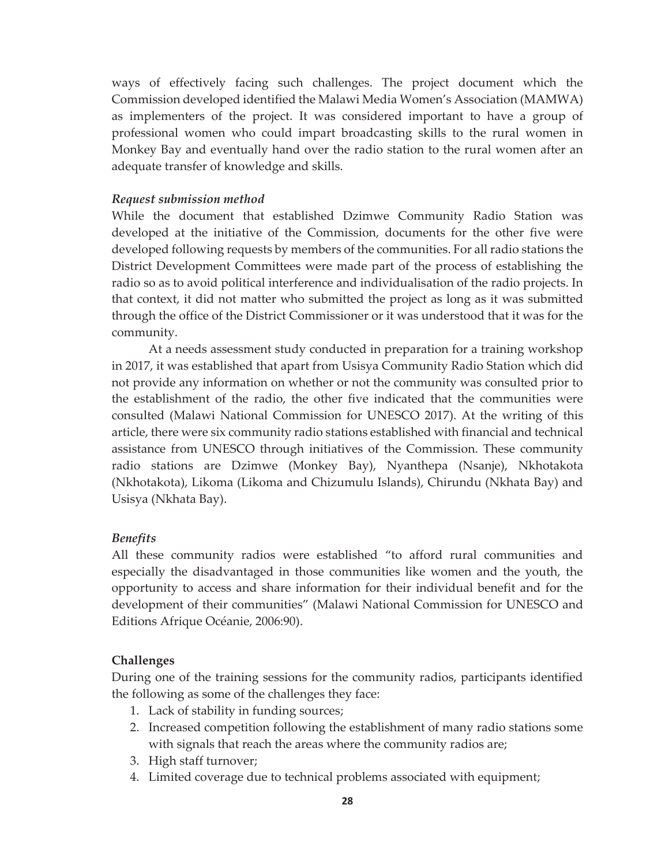ways of effectively facing such challenges. The project document which the Commission developed identified the Malawi Media Women's Association (MAMWA) as implementers of the project. It was considered important to have a group of professional women who could impart broadcasting skills to the rural women in Monkey Bay and eventually hand over the radio station to the rural women after an adequate transfer of knowledge and skills.

## *Request submission method*

While the document that established Dzimwe Community Radio Station was developed at the initiative of the Commission, documents for the other five were developed following requests by members of the communities. For all radio stations the District Development Committees were made part of the process of establishing the radio so as to avoid political interference and individualisation of the radio projects. In that context, it did not matter who submitted the project as long as it was submitted through the office of the District Commissioner or it was understood that it was for the community.

At a needs assessment study conducted in preparation for a training workshop in 2017, it was established that apart from Usisya Community Radio Station which did not provide any information on whether or not the community was consulted prior to the establishment of the radio, the other five indicated that the communities were consulted (Malawi National Commission for UNESCO 2017). At the writing of this article, there were six community radio stations established with financial and technical assistance from UNESCO through initiatives of the Commission. These community radio stations are Dzimwe (Monkey Bay), Nyanthepa (Nsanje), Nkhotakota (Nkhotakota), Likoma (Likoma and Chizumulu Islands), Chirundu (Nkhata Bay) and Usisya (Nkhata Bay).

## *Benefits*

All these community radios were established "to afford rural communities and especially the disadvantaged in those communities like women and the youth, the opportunity to access and share information for their individual benefit and for the development of their communities" (Malawi National Commission for UNESCO and Editions Afrique Océanie, 2006:90).

## **Challenges**

During one of the training sessions for the community radios, participants identified the following as some of the challenges they face:

- 1. Lack of stability in funding sources;
- 2. Increased competition following the establishment of many radio stations some with signals that reach the areas where the community radios are;
- 3. High staff turnover;
- 4. Limited coverage due to technical problems associated with equipment;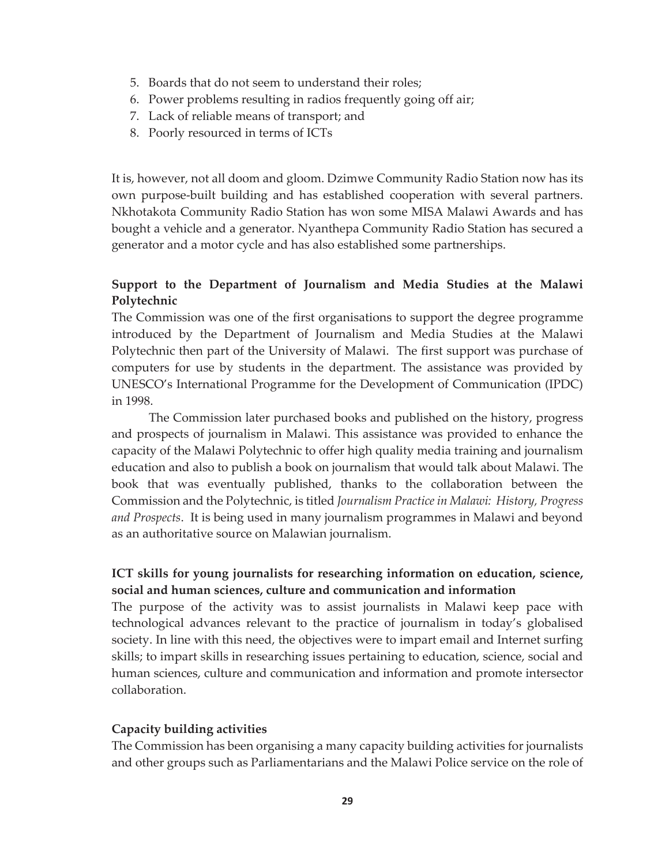- 5. Boards that do not seem to understand their roles;
- 6. Power problems resulting in radios frequently going off air;
- 7. Lack of reliable means of transport; and
- 8. Poorly resourced in terms of ICTs

It is, however, not all doom and gloom. Dzimwe Community Radio Station now has its own purpose-built building and has established cooperation with several partners. Nkhotakota Community Radio Station has won some MISA Malawi Awards and has bought a vehicle and a generator. Nyanthepa Community Radio Station has secured a generator and a motor cycle and has also established some partnerships.

# **Support to the Department of Journalism and Media Studies at the Malawi Polytechnic**

The Commission was one of the first organisations to support the degree programme introduced by the Department of Journalism and Media Studies at the Malawi Polytechnic then part of the University of Malawi. The first support was purchase of computers for use by students in the department. The assistance was provided by UNESCO's International Programme for the Development of Communication (IPDC) in 1998.

The Commission later purchased books and published on the history, progress and prospects of journalism in Malawi. This assistance was provided to enhance the capacity of the Malawi Polytechnic to offer high quality media training and journalism education and also to publish a book on journalism that would talk about Malawi. The book that was eventually published, thanks to the collaboration between the Commission and the Polytechnic, is titled *Journalism Practice in Malawi: History, Progress and Prospects*. It is being used in many journalism programmes in Malawi and beyond as an authoritative source on Malawian journalism.

# **ICT skills for young journalists for researching information on education, science, social and human sciences, culture and communication and information**

The purpose of the activity was to assist journalists in Malawi keep pace with technological advances relevant to the practice of journalism in today's globalised society. In line with this need, the objectives were to impart email and Internet surfing skills; to impart skills in researching issues pertaining to education, science, social and human sciences, culture and communication and information and promote intersector collaboration.

## **Capacity building activities**

The Commission has been organising a many capacity building activities for journalists and other groups such as Parliamentarians and the Malawi Police service on the role of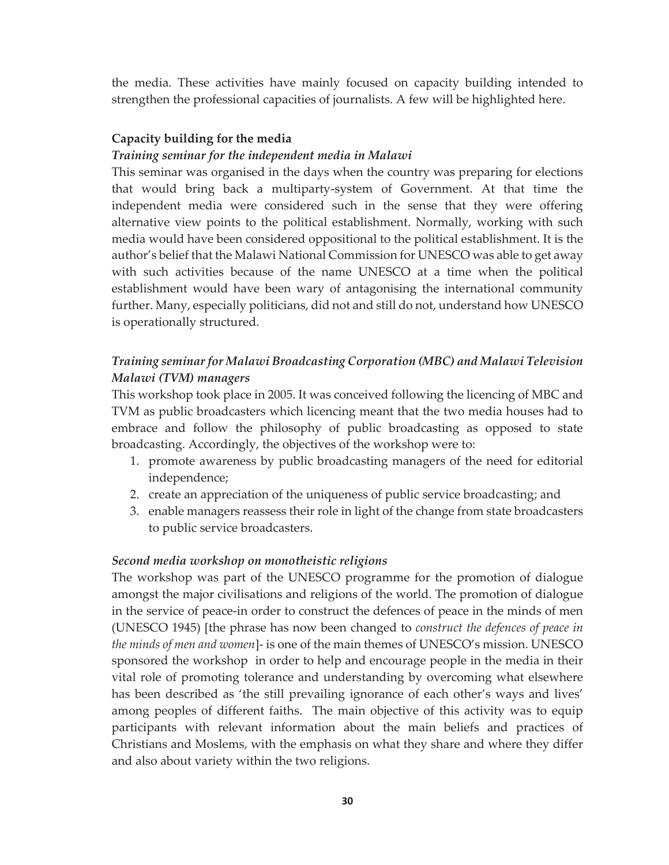the media. These activities have mainly focused on capacity building intended to strengthen the professional capacities of journalists. A few will be highlighted here.

# **Capacity building for the media**

## *Training seminar for the independent media in Malawi*

This seminar was organised in the days when the country was preparing for elections that would bring back a multiparty-system of Government. At that time the independent media were considered such in the sense that they were offering alternative view points to the political establishment. Normally, working with such media would have been considered oppositional to the political establishment. It is the author's belief that the Malawi National Commission for UNESCO was able to get away with such activities because of the name UNESCO at a time when the political establishment would have been wary of antagonising the international community further. Many, especially politicians, did not and still do not, understand how UNESCO is operationally structured.

# *Training seminar for Malawi Broadcasting Corporation (MBC) and Malawi Television Malawi (TVM) managers*

This workshop took place in 2005. It was conceived following the licencing of MBC and TVM as public broadcasters which licencing meant that the two media houses had to embrace and follow the philosophy of public broadcasting as opposed to state broadcasting. Accordingly, the objectives of the workshop were to:

- 1. promote awareness by public broadcasting managers of the need for editorial independence;
- 2. create an appreciation of the uniqueness of public service broadcasting; and
- 3. enable managers reassess their role in light of the change from state broadcasters to public service broadcasters.

## *Second media workshop on monotheistic religions*

The workshop was part of the UNESCO programme for the promotion of dialogue amongst the major civilisations and religions of the world. The promotion of dialogue in the service of peace-in order to construct the defences of peace in the minds of men (UNESCO 1945) [the phrase has now been changed to *construct the defences of peace in the minds of men and women*]- is one of the main themes of UNESCO's mission. UNESCO sponsored the workshop in order to help and encourage people in the media in their vital role of promoting tolerance and understanding by overcoming what elsewhere has been described as 'the still prevailing ignorance of each other's ways and lives' among peoples of different faiths. The main objective of this activity was to equip participants with relevant information about the main beliefs and practices of Christians and Moslems, with the emphasis on what they share and where they differ and also about variety within the two religions.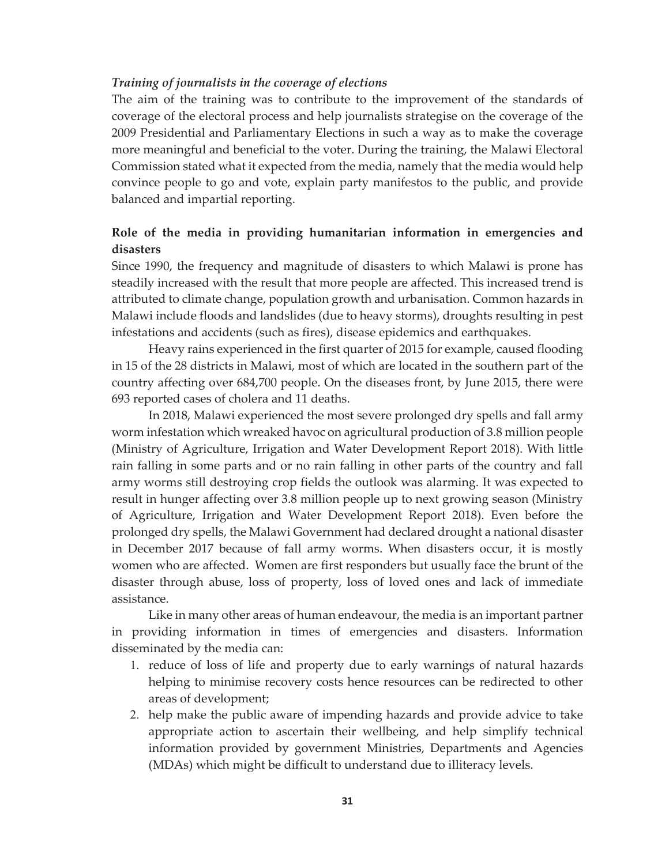#### *Training of journalists in the coverage of elections*

The aim of the training was to contribute to the improvement of the standards of coverage of the electoral process and help journalists strategise on the coverage of the 2009 Presidential and Parliamentary Elections in such a way as to make the coverage more meaningful and beneficial to the voter. During the training, the Malawi Electoral Commission stated what it expected from the media, namely that the media would help convince people to go and vote, explain party manifestos to the public, and provide balanced and impartial reporting.

# **Role of the media in providing humanitarian information in emergencies and disasters**

Since 1990, the frequency and magnitude of disasters to which Malawi is prone has steadily increased with the result that more people are affected. This increased trend is attributed to climate change, population growth and urbanisation. Common hazards in Malawi include floods and landslides (due to heavy storms), droughts resulting in pest infestations and accidents (such as fires), disease epidemics and earthquakes.

 Heavy rains experienced in the first quarter of 2015 for example, caused flooding in 15 of the 28 districts in Malawi, most of which are located in the southern part of the country affecting over 684,700 people. On the diseases front, by June 2015, there were 693 reported cases of cholera and 11 deaths.

 In 2018, Malawi experienced the most severe prolonged dry spells and fall army worm infestation which wreaked havoc on agricultural production of 3.8 million people (Ministry of Agriculture, Irrigation and Water Development Report 2018). With little rain falling in some parts and or no rain falling in other parts of the country and fall army worms still destroying crop fields the outlook was alarming. It was expected to result in hunger affecting over 3.8 million people up to next growing season (Ministry of Agriculture, Irrigation and Water Development Report 2018). Even before the prolonged dry spells, the Malawi Government had declared drought a national disaster in December 2017 because of fall army worms. When disasters occur, it is mostly women who are affected. Women are first responders but usually face the brunt of the disaster through abuse, loss of property, loss of loved ones and lack of immediate assistance.

 Like in many other areas of human endeavour, the media is an important partner in providing information in times of emergencies and disasters. Information disseminated by the media can:

- 1. reduce of loss of life and property due to early warnings of natural hazards helping to minimise recovery costs hence resources can be redirected to other areas of development;
- 2. help make the public aware of impending hazards and provide advice to take appropriate action to ascertain their wellbeing, and help simplify technical information provided by government Ministries, Departments and Agencies (MDAs) which might be difficult to understand due to illiteracy levels.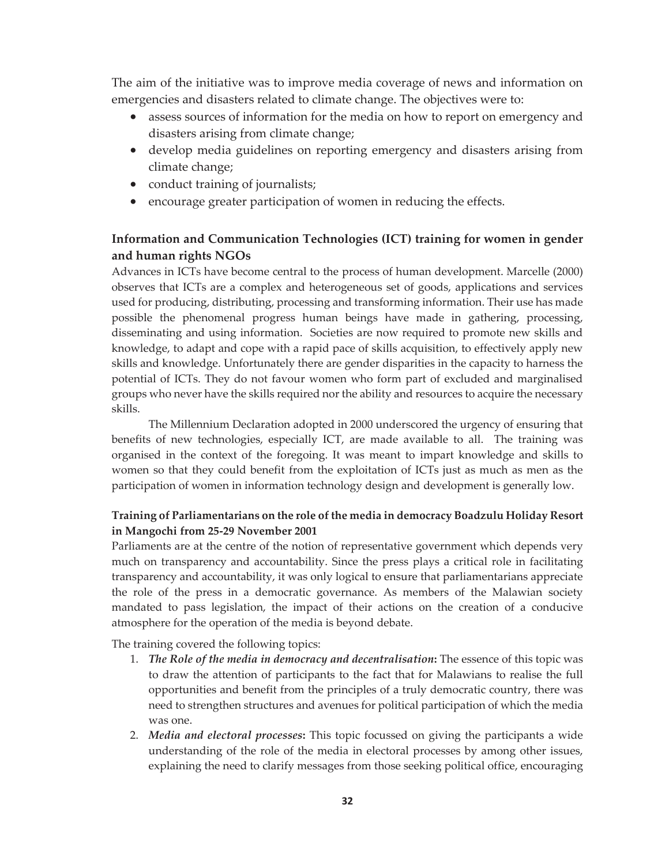The aim of the initiative was to improve media coverage of news and information on emergencies and disasters related to climate change. The objectives were to:

- x assess sources of information for the media on how to report on emergency and disasters arising from climate change;
- develop media guidelines on reporting emergency and disasters arising from climate change;
- conduct training of journalists;
- encourage greater participation of women in reducing the effects.

# **Information and Communication Technologies (ICT) training for women in gender and human rights NGOs**

Advances in ICTs have become central to the process of human development. Marcelle (2000) observes that ICTs are a complex and heterogeneous set of goods, applications and services used for producing, distributing, processing and transforming information. Their use has made possible the phenomenal progress human beings have made in gathering, processing, disseminating and using information. Societies are now required to promote new skills and knowledge, to adapt and cope with a rapid pace of skills acquisition, to effectively apply new skills and knowledge. Unfortunately there are gender disparities in the capacity to harness the potential of ICTs. They do not favour women who form part of excluded and marginalised groups who never have the skills required nor the ability and resources to acquire the necessary skills.

The Millennium Declaration adopted in 2000 underscored the urgency of ensuring that benefits of new technologies, especially ICT, are made available to all. The training was organised in the context of the foregoing. It was meant to impart knowledge and skills to women so that they could benefit from the exploitation of ICTs just as much as men as the participation of women in information technology design and development is generally low.

# **Training of Parliamentarians on the role of the media in democracy Boadzulu Holiday Resort in Mangochi from 25-29 November 2001**

Parliaments are at the centre of the notion of representative government which depends very much on transparency and accountability. Since the press plays a critical role in facilitating transparency and accountability, it was only logical to ensure that parliamentarians appreciate the role of the press in a democratic governance. As members of the Malawian society mandated to pass legislation, the impact of their actions on the creation of a conducive atmosphere for the operation of the media is beyond debate.

The training covered the following topics:

- 1. *The Role of the media in democracy and decentralisation***:** The essence of this topic was to draw the attention of participants to the fact that for Malawians to realise the full opportunities and benefit from the principles of a truly democratic country, there was need to strengthen structures and avenues for political participation of which the media was one.
- 2. *Media and electoral processes***:** This topic focussed on giving the participants a wide understanding of the role of the media in electoral processes by among other issues, explaining the need to clarify messages from those seeking political office, encouraging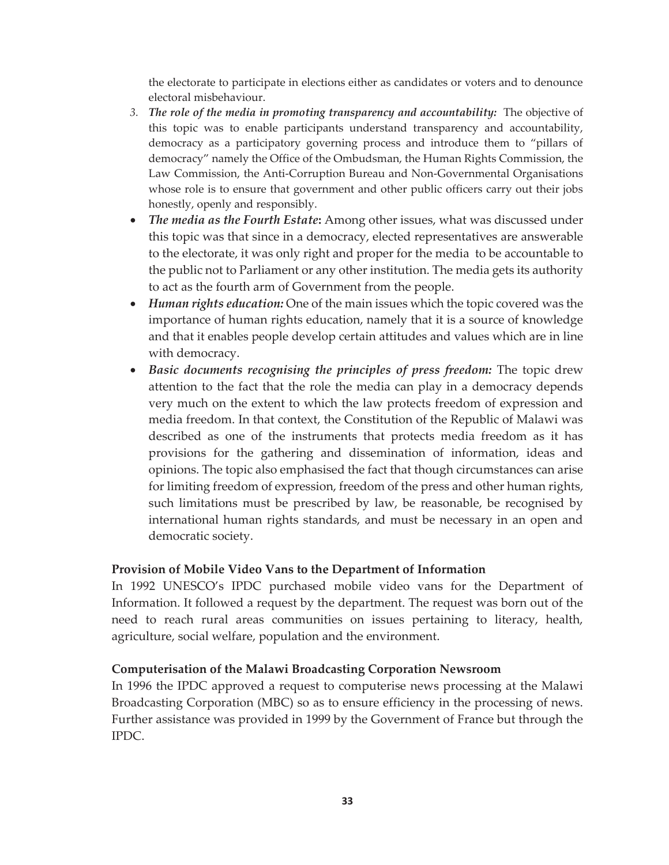the electorate to participate in elections either as candidates or voters and to denounce electoral misbehaviour.

- *3. The role of the media in promoting transparency and accountability:* The objective of this topic was to enable participants understand transparency and accountability, democracy as a participatory governing process and introduce them to "pillars of democracy" namely the Office of the Ombudsman, the Human Rights Commission, the Law Commission, the Anti-Corruption Bureau and Non-Governmental Organisations whose role is to ensure that government and other public officers carry out their jobs honestly, openly and responsibly.
- x *The media as the Fourth Estate***:** Among other issues, what was discussed under this topic was that since in a democracy, elected representatives are answerable to the electorate, it was only right and proper for the media to be accountable to the public not to Parliament or any other institution. The media gets its authority to act as the fourth arm of Government from the people.
- x *Human rights education:* One of the main issues which the topic covered was the importance of human rights education, namely that it is a source of knowledge and that it enables people develop certain attitudes and values which are in line with democracy.
- x *Basic documents recognising the principles of press freedom:* The topic drew attention to the fact that the role the media can play in a democracy depends very much on the extent to which the law protects freedom of expression and media freedom. In that context, the Constitution of the Republic of Malawi was described as one of the instruments that protects media freedom as it has provisions for the gathering and dissemination of information, ideas and opinions. The topic also emphasised the fact that though circumstances can arise for limiting freedom of expression, freedom of the press and other human rights, such limitations must be prescribed by law, be reasonable, be recognised by international human rights standards, and must be necessary in an open and democratic society.

# **Provision of Mobile Video Vans to the Department of Information**

In 1992 UNESCO's IPDC purchased mobile video vans for the Department of Information. It followed a request by the department. The request was born out of the need to reach rural areas communities on issues pertaining to literacy, health, agriculture, social welfare, population and the environment.

## **Computerisation of the Malawi Broadcasting Corporation Newsroom**

In 1996 the IPDC approved a request to computerise news processing at the Malawi Broadcasting Corporation (MBC) so as to ensure efficiency in the processing of news. Further assistance was provided in 1999 by the Government of France but through the IPDC.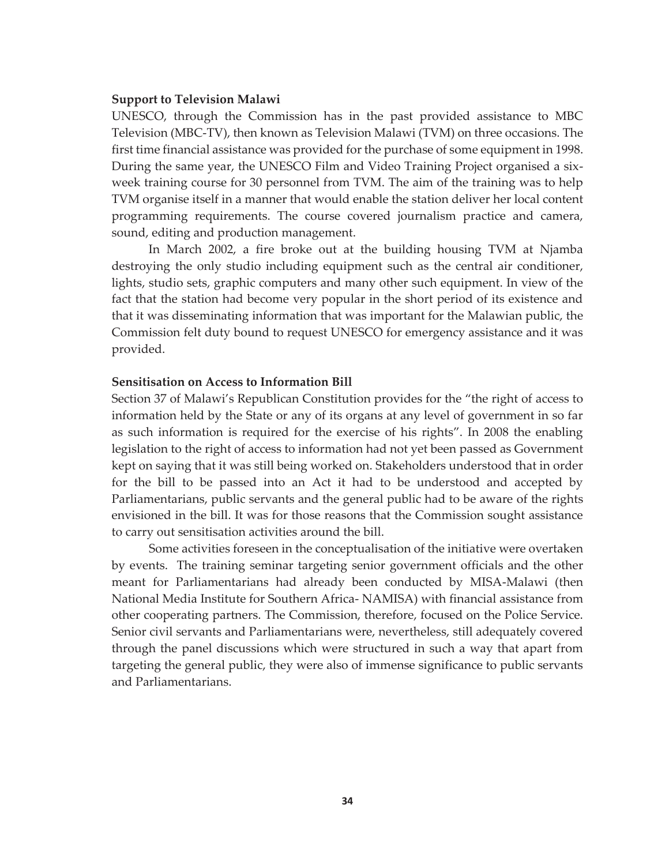#### **Support to Television Malawi**

UNESCO, through the Commission has in the past provided assistance to MBC Television (MBC-TV), then known as Television Malawi (TVM) on three occasions. The first time financial assistance was provided for the purchase of some equipment in 1998. During the same year, the UNESCO Film and Video Training Project organised a sixweek training course for 30 personnel from TVM. The aim of the training was to help TVM organise itself in a manner that would enable the station deliver her local content programming requirements. The course covered journalism practice and camera, sound, editing and production management.

In March 2002, a fire broke out at the building housing TVM at Njamba destroying the only studio including equipment such as the central air conditioner, lights, studio sets, graphic computers and many other such equipment. In view of the fact that the station had become very popular in the short period of its existence and that it was disseminating information that was important for the Malawian public, the Commission felt duty bound to request UNESCO for emergency assistance and it was provided.

#### **Sensitisation on Access to Information Bill**

Section 37 of Malawi's Republican Constitution provides for the "the right of access to information held by the State or any of its organs at any level of government in so far as such information is required for the exercise of his rights". In 2008 the enabling legislation to the right of access to information had not yet been passed as Government kept on saying that it was still being worked on. Stakeholders understood that in order for the bill to be passed into an Act it had to be understood and accepted by Parliamentarians, public servants and the general public had to be aware of the rights envisioned in the bill. It was for those reasons that the Commission sought assistance to carry out sensitisation activities around the bill.

Some activities foreseen in the conceptualisation of the initiative were overtaken by events. The training seminar targeting senior government officials and the other meant for Parliamentarians had already been conducted by MISA-Malawi (then National Media Institute for Southern Africa- NAMISA) with financial assistance from other cooperating partners. The Commission, therefore, focused on the Police Service. Senior civil servants and Parliamentarians were, nevertheless, still adequately covered through the panel discussions which were structured in such a way that apart from targeting the general public, they were also of immense significance to public servants and Parliamentarians.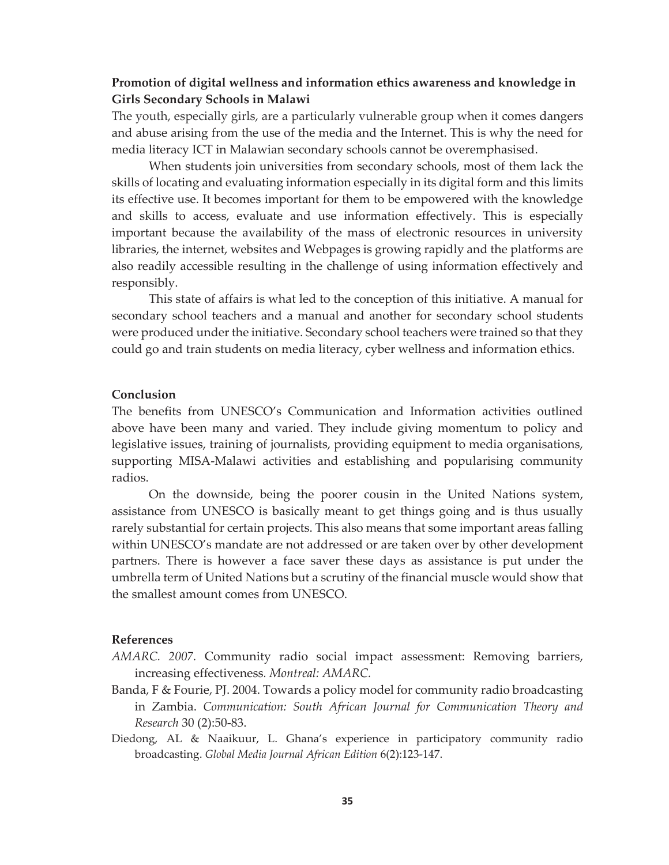# **Promotion of digital wellness and information ethics awareness and knowledge in Girls Secondary Schools in Malawi**

The youth, especially girls, are a particularly vulnerable group when it comes dangers and abuse arising from the use of the media and the Internet. This is why the need for media literacy ICT in Malawian secondary schools cannot be overemphasised.

When students join universities from secondary schools, most of them lack the skills of locating and evaluating information especially in its digital form and this limits its effective use. It becomes important for them to be empowered with the knowledge and skills to access, evaluate and use information effectively. This is especially important because the availability of the mass of electronic resources in university libraries, the internet, websites and Webpages is growing rapidly and the platforms are also readily accessible resulting in the challenge of using information effectively and responsibly.

This state of affairs is what led to the conception of this initiative. A manual for secondary school teachers and a manual and another for secondary school students were produced under the initiative. Secondary school teachers were trained so that they could go and train students on media literacy, cyber wellness and information ethics.

## **Conclusion**

The benefits from UNESCO's Communication and Information activities outlined above have been many and varied. They include giving momentum to policy and legislative issues, training of journalists, providing equipment to media organisations, supporting MISA-Malawi activities and establishing and popularising community radios.

On the downside, being the poorer cousin in the United Nations system, assistance from UNESCO is basically meant to get things going and is thus usually rarely substantial for certain projects. This also means that some important areas falling within UNESCO's mandate are not addressed or are taken over by other development partners. There is however a face saver these days as assistance is put under the umbrella term of United Nations but a scrutiny of the financial muscle would show that the smallest amount comes from UNESCO.

#### **References**

- *AMARC. 2007.* Community radio social impact assessment: Removing barriers, increasing effectiveness*. Montreal: AMARC.*
- Banda, F & Fourie, PJ. 2004. Towards a policy model for community radio broadcasting in Zambia. *Communication: South African Journal for Communication Theory and Research* 30 (2):50-83.
- Diedong, AL & Naaikuur, L. Ghana's experience in participatory community radio broadcasting. *Global Media Journal African Edition* 6(2):123-147.